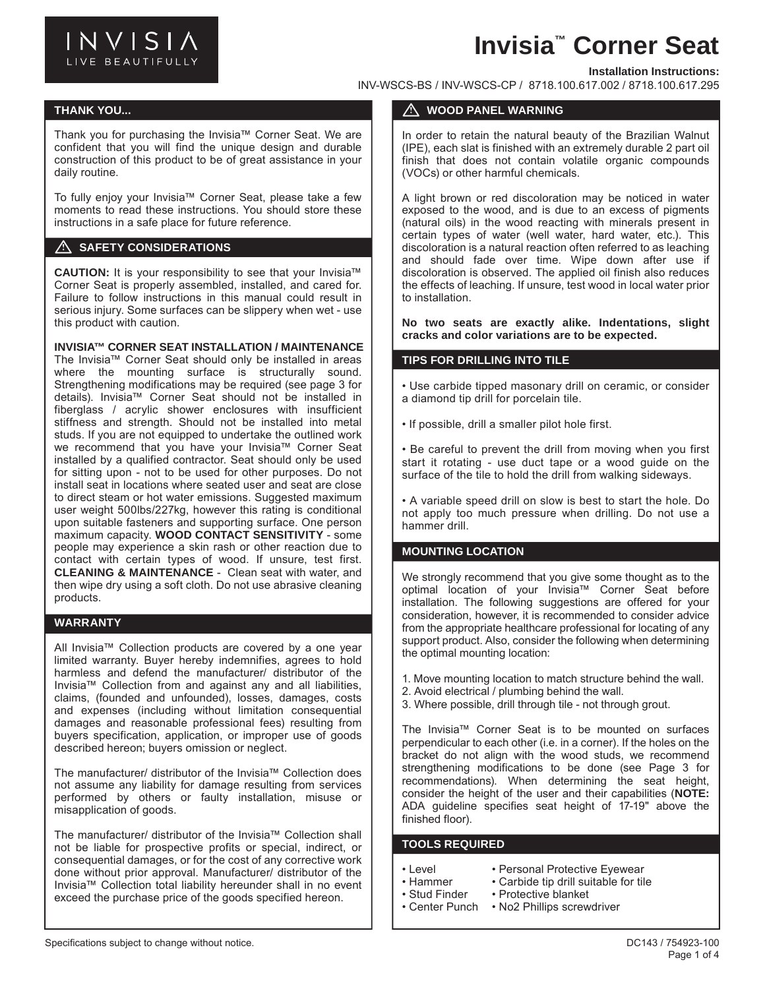

# **Invisia™ Corner Seat**

#### **Installation Instructions:**

INV-WSCS-BS / INV-WSCS-CP / 8718.100.617.002 / 8718.100.617.295

## **THANK YOU... SERENA SERIES AND SERVICE SERVICE SERVICE SERVICE SERVICE SERVICE SERVICE SERVICE SERVICE SERVICE**

Thank you for purchasing the Invisia™ Corner Seat. We are confident that you will find the unique design and durable construction of this product to be of great assistance in your daily routine.

To fully enjoy your Invisia™ Corner Seat, please take a few moments to read these instructions. You should store these instructions in a safe place for future reference.

## **A SAFETY CONSIDERATIONS**

**CAUTION:** It is your responsibility to see that your Invisia™ Corner Seat is properly assembled, installed, and cared for. Failure to follow instructions in this manual could result in serious injury. Some surfaces can be slippery when wet - use this product with caution.

#### **INVISIA™ CORNER SEAT INSTALLATION / MAINTENANCE**

The Invisia™ Corner Seat should only be installed in areas where the mounting surface is structurally sound. Strengthening modifications may be required (see page 3 for details). Invisia™ Corner Seat should not be installed in fiberglass / acrylic shower enclosures with insufficient stiffness and strength. Should not be installed into metal studs. If you are not equipped to undertake the outlined work we recommend that you have your Invisia™ Corner Seat installed by a qualified contractor. Seat should only be used for sitting upon - not to be used for other purposes. Do not install seat in locations where seated user and seat are close to direct steam or hot water emissions. Suggested maximum user weight 500lbs/227kg, however this rating is conditional upon suitable fasteners and supporting surface. One person maximum capacity. **WOOD CONTACT SENSITIVITY** - some people may experience a skin rash or other reaction due to contact with certain types of wood. If unsure, test first. **CLEANING & MAINTENANCE** - Clean seat with water, and then wipe dry using a soft cloth. Do not use abrasive cleaning products.

## **WARRANTY**

All Invisia™ Collection products are covered by a one year limited warranty. Buyer hereby indemnifies, agrees to hold harmless and defend the manufacturer/ distributor of the Invisia™ Collection from and against any and all liabilities, claims, (founded and unfounded), losses, damages, costs and expenses (including without limitation consequential damages and reasonable professional fees) resulting from buyers specification, application, or improper use of goods described hereon; buyers omission or neglect.

The manufacturer/ distributor of the Invisia™ Collection does not assume any liability for damage resulting from services performed by others or faulty installation, misuse or misapplication of goods.

The manufacturer/ distributor of the Invisia™ Collection shall not be liable for prospective profits or special, indirect, or consequential damages, or for the cost of any corrective work done without prior approval. Manufacturer/ distributor of the Invisia™ Collection total liability hereunder shall in no event exceed the purchase price of the goods specified hereon.

## **WOOD PANEL WARNING**

In order to retain the natural beauty of the Brazilian Walnut (IPE), each slat is finished with an extremely durable 2 part oil finish that does not contain volatile organic compounds (VOCs) or other harmful chemicals.

A light brown or red discoloration may be noticed in water exposed to the wood, and is due to an excess of pigments (natural oils) in the wood reacting with minerals present in certain types of water (well water, hard water, etc.). This discoloration is a natural reaction often referred to as leaching and should fade over time. Wipe down after use if discoloration is observed. The applied oil finish also reduces the effects of leaching. If unsure, test wood in local water prior to installation.

**No two seats are exactly alike. Indentations, slight cracks and color variations are to be expected.**

#### **TIPS FOR DRILLING INTO TILE**

• Use carbide tipped masonary drill on ceramic, or consider a diamond tip drill for porcelain tile.

• If possible, drill a smaller pilot hole first.

• Be careful to prevent the drill from moving when you first start it rotating - use duct tape or a wood guide on the surface of the tile to hold the drill from walking sideways.

• A variable speed drill on slow is best to start the hole. Do not apply too much pressure when drilling. Do not use a hammer drill.

# **MOUNTING LOCATION**

We strongly recommend that you give some thought as to the optimal location of your Invisia™ Corner Seat before installation. The following suggestions are offered for your consideration, however, it is recommended to consider advice from the appropriate healthcare professional for locating of any support product. Also, consider the following when determining the optimal mounting location:

- 1. Move mounting location to match structure behind the wall.
- 2. Avoid electrical / plumbing behind the wall.
- 3. Where possible, drill through tile not through grout.

The Invisia™ Corner Seat is to be mounted on surfaces perpendicular to each other (i.e. in a corner). If the holes on the bracket do not align with the wood studs, we recommend strengthening modifications to be done (see Page 3 for recommendations). When determining the seat height, consider the height of the user and their capabilities (**NOTE:** ADA guideline specifies seat height of 17-19" above the finished floor).

## **TOOLS REQUIRED**

- 
- Level Personal Protective Eyewear<br>• Hammer Carbide tip drill suitable for till • Carbide tip drill suitable for tile
	-
- Stud Finder Protective blanket<br>• Center Punch No2 Phillips screw • No2 Phillips screwdriver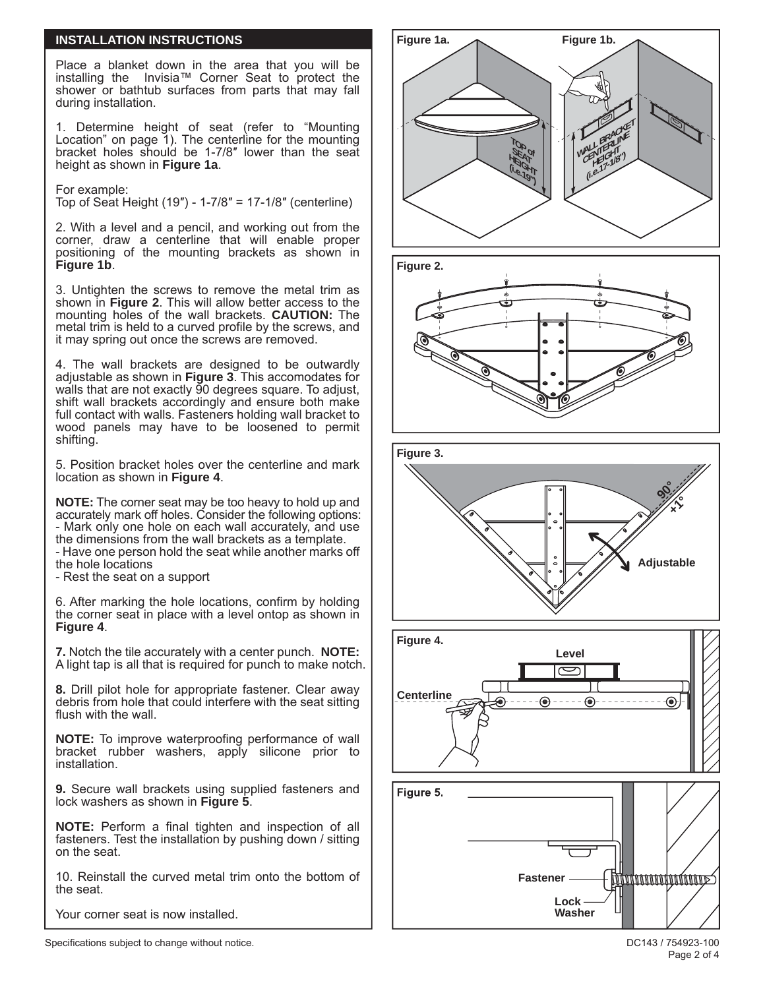## **INSTALLATION INSTRUCTIONS**

Place a blanket down in the area that you will be installing the Invisia™ Corner Seat to protect the shower or bathtub surfaces from parts that may fall during installation.

1. Determine height of seat (refer to "Mounting Location" on page 1). The centerline for the mounting bracket holes should be 1-7/8″ lower than the seat height as shown in **Figure 1a**.

For example:

Top of Seat Height (19″) - 1-7/8″ = 17-1/8″ (centerline)

2. With a level and a pencil, and working out from the corner, draw a centerline that will enable proper positioning of the mounting brackets as shown in **Figure 1b**.

3. Untighten the screws to remove the metal trim as shown in **Figure 2**. This will allow better access to the mounting holes of the wall brackets. **CAUTION:** The metal trim is held to a curved profile by the screws, and it may spring out once the screws are removed.

4. The wall brackets are designed to be outwardly adjustable as shown in **Figure 3**. This accomodates for walls that are not exactly 90 degrees square. To adjust, shift wall brackets accordingly and ensure both make full contact with walls. Fasteners holding wall bracket to wood panels may have to be loosened to permit shifting.

5. Position bracket holes over the centerline and mark location as shown in **Figure 4**.

**NOTE:** The corner seat may be too heavy to hold up and accurately mark off holes. Consider the following options: - Mark only one hole on each wall accurately, and use the dimensions from the wall brackets as a template. - Have one person hold the seat while another marks off the hole locations

- Rest the seat on a support

6. After marking the hole locations, confirm by holding the corner seat in place with a level ontop as shown in **Figure 4**.

**7.** Notch the tile accurately with a center punch. **NOTE:** A light tap is all that is required for punch to make notch.

**8.** Drill pilot hole for appropriate fastener. Clear away debris from hole that could interfere with the seat sitting flush with the wall.

**NOTE:** To improve waterproofing performance of wall bracket rubber washers, apply silicone prior to installation.

**9.** Secure wall brackets using supplied fasteners and lock washers as shown in **Figure 5**.

**NOTE:** Perform a final tighten and inspection of all fasteners. Test the installation by pushing down / sitting on the seat.

10. Reinstall the curved metal trim onto the bottom of the seat.

Your corner seat is now installed.



Specifications subject to change without notice.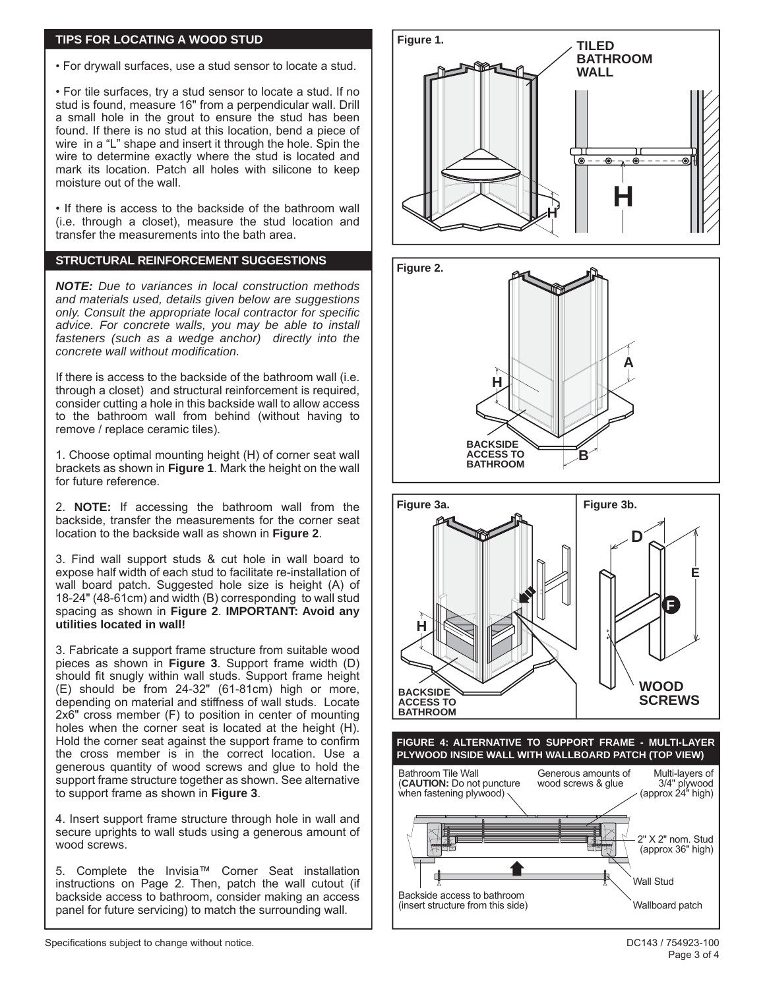## **TIPS FOR LOCATING A WOOD STUD**

• For drywall surfaces, use a stud sensor to locate a stud.

• For tile surfaces, try a stud sensor to locate a stud. If no stud is found, measure 16" from a perpendicular wall. Drill a small hole in the grout to ensure the stud has been found. If there is no stud at this location, bend a piece of wire in a "L" shape and insert it through the hole. Spin the wire to determine exactly where the stud is located and mark its location. Patch all holes with silicone to keep moisture out of the wall.

• If there is access to the backside of the bathroom wall (i.e. through a closet), measure the stud location and transfer the measurements into the bath area.

# **STRUCTURAL REINFORCEMENT SUGGESTIONS**

*NOTE: Due to variances in local construction methods and materials used, details given below are suggestions only. Consult the appropriate local contractor for specific advice. For concrete walls, you may be able to install fasteners (such as a wedge anchor) directly into the concrete wall without modification.*

If there is access to the backside of the bathroom wall (i.e. through a closet) and structural reinforcement is required, consider cutting a hole in this backside wall to allow access to the bathroom wall from behind (without having to remove / replace ceramic tiles).

1. Choose optimal mounting height (H) of corner seat wall brackets as shown in **Figure 1**. Mark the height on the wall for future reference.

2. **NOTE:** If accessing the bathroom wall from the backside, transfer the measurements for the corner seat location to the backside wall as shown in **Figure 2**.

3. Find wall support studs & cut hole in wall board to expose half width of each stud to facilitate re-installation of wall board patch. Suggested hole size is height (A) of 18-24" (48-61cm) and width (B) corresponding to wall stud spacing as shown in **Figure 2**. **IMPORTANT: Avoid any utilities located in wall!**

3. Fabricate a support frame structure from suitable wood pieces as shown in **Figure 3**. Support frame width (D) should fit snugly within wall studs. Support frame height (E) should be from 24-32" (61-81cm) high or more, depending on material and stiffness of wall studs. Locate 2x6" cross member (F) to position in center of mounting holes when the corner seat is located at the height (H). Hold the corner seat against the support frame to confirm the cross member is in the correct location. Use a generous quantity of wood screws and glue to hold the support frame structure together as shown. See alternative to support frame as shown in **Figure 3**.

4. Insert support frame structure through hole in wall and secure uprights to wall studs using a generous amount of wood screws.

5. Complete the Invisia™ Corner Seat installation instructions on Page 2. Then, patch the wall cutout (if backside access to bathroom, consider making an access panel for future servicing) to match the surrounding wall.